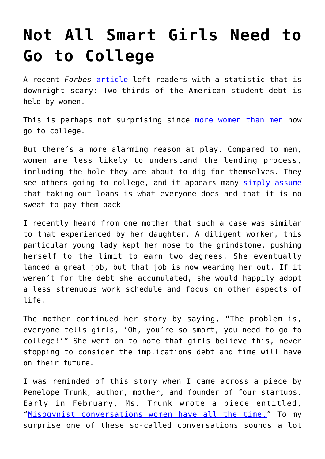## **[Not All Smart Girls Need to](https://intellectualtakeout.org/2018/04/not-all-smart-girls-need-to-go-to-college/) [Go to College](https://intellectualtakeout.org/2018/04/not-all-smart-girls-need-to-go-to-college/)**

A recent *Forbes* [article](https://www.forbes.com/sites/cbrennan/2018/03/17/the-double-burden-student-loans-women/#5cd700e62488) left readers with a statistic that is downright scary: Two-thirds of the American student debt is held by women.

This is perhaps not surprising since [more women than men](https://www.theatlantic.com/education/archive/2017/08/why-men-are-the-new-college-minority/536103/) now go to college.

But there's a more alarming reason at play. Compared to men, women are less likely to understand the lending process, including the hole they are about to dig for themselves. They see others going to college, and it appears many [simply assume](https://www.youtube.com/watch?time_continue=52&v=PqzEcER8AJA) that taking out loans is what everyone does and that it is no sweat to pay them back.

I recently heard from one mother that such a case was similar to that experienced by her daughter. A diligent worker, this particular young lady kept her nose to the grindstone, pushing herself to the limit to earn two degrees. She eventually landed a great job, but that job is now wearing her out. If it weren't for the debt she accumulated, she would happily adopt a less strenuous work schedule and focus on other aspects of life.

The mother continued her story by saying, "The problem is, everyone tells girls, 'Oh, you're so smart, you need to go to college!'" She went on to note that girls believe this, never stopping to consider the implications debt and time will have on their future.

I was reminded of this story when I came across a piece by Penelope Trunk, author, mother, and founder of four startups. Early in February, Ms. Trunk wrote a piece entitled, "[Misogynist conversations women have all the time."](http://blog.penelopetrunk.com/2018/02/06/misogynist-conversations-women-have-all-the-time/) To my surprise one of these so-called conversations sounds a lot